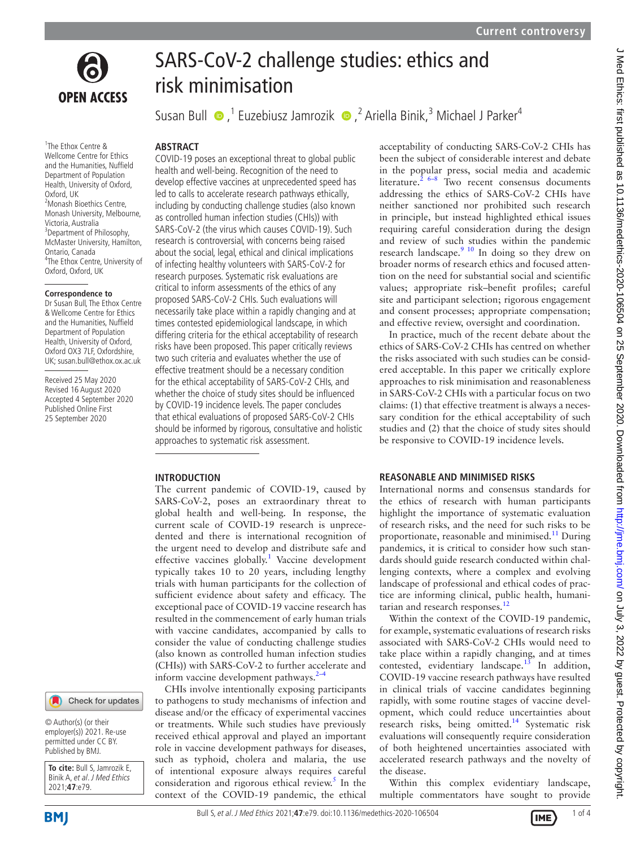

1 The Ethox Centre & Wellcome Centre for Ethics and the Humanities, Nuffield Department of Population Health, University of Oxford, Oxford, UK 2 Monash Bioethics Centre, Monash University, Melbourne, Victoria, Australia <sup>3</sup> Department of Philosophy, McMaster University, Hamilton, Ontario, Canada 4 The Ethox Centre, University of Oxford, Oxford, UK

#### **Correspondence to**

Dr Susan Bull, The Ethox Centre & Wellcome Centre for Ethics and the Humanities, Nuffield Department of Population Health, University of Oxford, Oxford OX3 7LF, Oxfordshire, UK; susan.bull@ethox.ox.ac.uk

Received 25 May 2020 Revised 16 August 2020 Accepted 4 September 2020 Published Online First 25 September 2020

# SARS-CoV-2 challenge studies: ethics and risk minimisation

SusanBull  $\bullet$ ,<sup>1</sup> Euzebiusz Jamrozik  $\bullet$ ,<sup>2</sup> Ariella Binik,<sup>3</sup> Michael J Parker<sup>4</sup>

#### **ABSTRACT**

COVID-19 poses an exceptional threat to global public health and well-being. Recognition of the need to develop effective vaccines at unprecedented speed has led to calls to accelerate research pathways ethically, including by conducting challenge studies (also known as controlled human infection studies (CHIs)) with SARS-CoV-2 (the virus which causes COVID-19). Such research is controversial, with concerns being raised about the social, legal, ethical and clinical implications of infecting healthy volunteers with SARS-CoV-2 for research purposes. Systematic risk evaluations are critical to inform assessments of the ethics of any proposed SARS-CoV-2 CHIs. Such evaluations will necessarily take place within a rapidly changing and at times contested epidemiological landscape, in which differing criteria for the ethical acceptability of research risks have been proposed. This paper critically reviews two such criteria and evaluates whether the use of effective treatment should be a necessary condition for the ethical acceptability of SARS-CoV-2 CHIs, and whether the choice of study sites should be influenced by COVID-19 incidence levels. The paper concludes that ethical evaluations of proposed SARS-CoV-2 CHIs should be informed by rigorous, consultative and holistic approaches to systematic risk assessment.

#### **INTRODUCTION**

The current pandemic of COVID-19, caused by SARS-CoV-2, poses an extraordinary threat to global health and well-being. In response, the current scale of COVID-19 research is unprecedented and there is international recognition of the urgent need to develop and distribute safe and effective vaccines globally.<sup>[1](#page-3-0)</sup> Vaccine development typically takes 10 to 20 years, including lengthy trials with human participants for the collection of sufficient evidence about safety and efficacy. The exceptional pace of COVID-19 vaccine research has resulted in the commencement of early human trials with vaccine candidates, accompanied by calls to consider the value of conducting challenge studies (also known as controlled human infection studies (CHIs)) with SARS-CoV-2 to further accelerate and inform vaccine development pathways. $2-4$ 

CHIs involve intentionally exposing participants to pathogens to study mechanisms of infection and disease and/or the efficacy of experimental vaccines or treatments. While such studies have previously received ethical approval and played an important role in vaccine development pathways for diseases, such as typhoid, cholera and malaria, the use of intentional exposure always requires careful consideration and rigorous ethical review.<sup>[5](#page-3-2)</sup> In the context of the COVID-19 pandemic, the ethical

acceptability of conducting SARS-CoV-2 CHIs has been the subject of considerable interest and debate in the popular press, social media and academic literature.<sup>2 6–8</sup> Two recent consensus documents addressing the ethics of SARS-CoV-2 CHIs have neither sanctioned nor prohibited such research in principle, but instead highlighted ethical issues requiring careful consideration during the design and review of such studies within the pandemic research landscape.<sup>9</sup> <sup>10</sup> In doing so they drew on broader norms of research ethics and focused attention on the need for substantial social and scientific values; appropriate risk–benefit profiles; careful site and participant selection; rigorous engagement and consent processes; appropriate compensation; and effective review, oversight and coordination.

In practice, much of the recent debate about the ethics of SARS-CoV-2 CHIs has centred on whether the risks associated with such studies can be considered acceptable. In this paper we critically explore approaches to risk minimisation and reasonableness in SARS-CoV-2 CHIs with a particular focus on two claims: (1) that effective treatment is always a necessary condition for the ethical acceptability of such studies and (2) that the choice of study sites should be responsive to COVID-19 incidence levels.

### **REASONABLE AND MINIMISED RISKS**

International norms and consensus standards for the ethics of research with human participants highlight the importance of systematic evaluation of research risks, and the need for such risks to be proportionate, reasonable and minimised. $11$  During pandemics, it is critical to consider how such standards should guide research conducted within challenging contexts, where a complex and evolving landscape of professional and ethical codes of practice are informing clinical, public health, humanitarian and research responses. $^{12}$  $^{12}$  $^{12}$ 

Within the context of the COVID-19 pandemic, for example, systematic evaluations of research risks associated with SARS-CoV-2 CHIs would need to take place within a rapidly changing, and at times contested, evidentiary landscape.<sup>[13](#page-3-6)</sup> In addition, COVID-19 vaccine research pathways have resulted in clinical trials of vaccine candidates beginning rapidly, with some routine stages of vaccine development, which could reduce uncertainties about research risks, being omitted.<sup>[14](#page-3-7)</sup> Systematic risk evaluations will consequently require consideration of both heightened uncertainties associated with accelerated research pathways and the novelty of the disease.

Within this complex evidentiary landscape, multiple commentators have sought to provide

2021;**47**:e79.

© Author(s) (or their employer(s)) 2021. Re-use permitted under CC BY. Published by BMJ.

**To cite:** Bull S, Jamrozik E, Binik A, et al. J Med Ethics

Check for updates

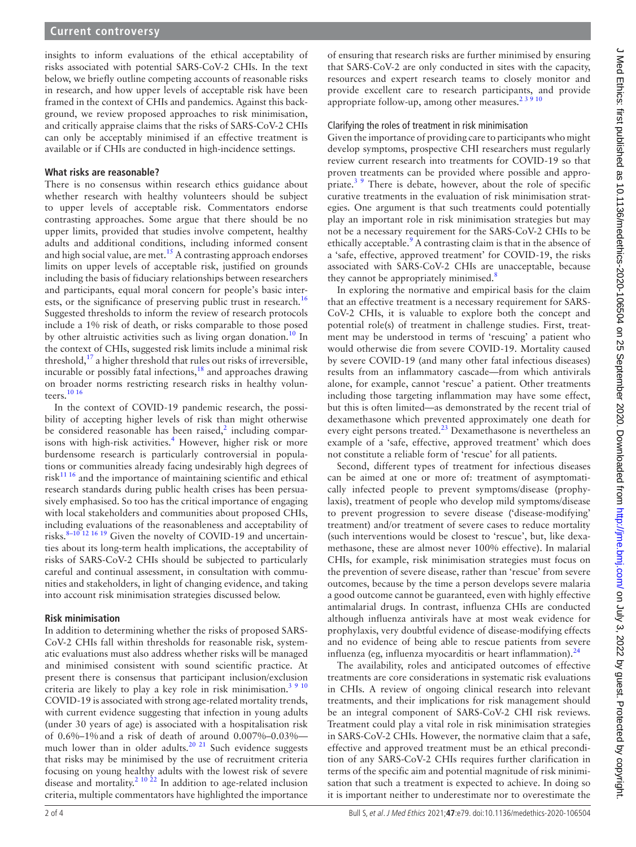insights to inform evaluations of the ethical acceptability of risks associated with potential SARS-CoV-2 CHIs. In the text below, we briefly outline competing accounts of reasonable risks in research, and how upper levels of acceptable risk have been framed in the context of CHIs and pandemics. Against this background, we review proposed approaches to risk minimisation, and critically appraise claims that the risks of SARS-CoV-2 CHIs can only be acceptably minimised if an effective treatment is available or if CHIs are conducted in high-incidence settings.

## **What risks are reasonable?**

There is no consensus within research ethics guidance about whether research with healthy volunteers should be subject to upper levels of acceptable risk. Commentators endorse contrasting approaches. Some argue that there should be no upper limits, provided that studies involve competent, healthy adults and additional conditions, including informed consent and high social value, are met.<sup>[15](#page-3-8)</sup> A contrasting approach endorses limits on upper levels of acceptable risk, justified on grounds including the basis of fiduciary relationships between researchers and participants, equal moral concern for people's basic inter-ests, or the significance of preserving public trust in research.<sup>[16](#page-3-9)</sup> Suggested thresholds to inform the review of research protocols include a 1% risk of death, or risks comparable to those posed by other altruistic activities such as living organ donation.<sup>10</sup> In the context of CHIs, suggested risk limits include a minimal risk threshold, $17$  a higher threshold that rules out risks of irreversible, incurable or possibly fatal infections,<sup>[18](#page-3-12)</sup> and approaches drawing on broader norms restricting research risks in healthy volunteers.[10 16](#page-3-10)

In the context of COVID-19 pandemic research, the possibility of accepting higher levels of risk than might otherwise be considered reasonable has been raised, $2$  including comparisons with high-risk activities.<sup>4</sup> However, higher risk or more burdensome research is particularly controversial in populations or communities already facing undesirably high degrees of  $risk<sup>11 16</sup>$  and the importance of maintaining scientific and ethical research standards during public health crises has been persuasively emphasised. So too has the critical importance of engaging with local stakeholders and communities about proposed CHIs, including evaluations of the reasonableness and acceptability of risks.<sup>8-10 12 16 19</sup> Given the novelty of COVID-19 and uncertainties about its long-term health implications, the acceptability of risks of SARS-CoV-2 CHIs should be subjected to particularly careful and continual assessment, in consultation with communities and stakeholders, in light of changing evidence, and taking into account risk minimisation strategies discussed below.

## **Risk minimisation**

In addition to determining whether the risks of proposed SARS-CoV-2 CHIs fall within thresholds for reasonable risk, systematic evaluations must also address whether risks will be managed and minimised consistent with sound scientific practice. At present there is consensus that participant inclusion/exclusion criteria are likely to play a key role in risk minimisation.<sup>3 9 10</sup> COVID-19 is associated with strong age-related mortality trends, with current evidence suggesting that infection in young adults (under 30 years of age) is associated with a hospitalisation risk of 0.6%–1%and a risk of death of around 0.007%–0.03% much lower than in older adults.<sup>20 21</sup> Such evidence suggests that risks may be minimised by the use of recruitment criteria focusing on young healthy adults with the lowest risk of severe disease and mortality[.2 10 22](#page-3-1) In addition to age-related inclusion criteria, multiple commentators have highlighted the importance

of ensuring that research risks are further minimised by ensuring that SARS-CoV-2 are only conducted in sites with the capacity, resources and expert research teams to closely monitor and provide excellent care to research participants, and provide appropriate follow-up, among other measures. $23910$ 

## Clarifying the roles of treatment in risk minimisation

Given the importance of providing care to participants who might develop symptoms, prospective CHI researchers must regularly review current research into treatments for COVID-19 so that proven treatments can be provided where possible and appropriate.<sup>3</sup> <sup>9</sup> There is debate, however, about the role of specific curative treatments in the evaluation of risk minimisation strategies. One argument is that such treatments could potentially play an important role in risk minimisation strategies but may not be a necessary requirement for the SARS-CoV-2 CHIs to be ethically acceptable.<sup>[9](#page-3-3)</sup> A contrasting claim is that in the absence of a 'safe, effective, approved treatment' for COVID-19, the risks associated with SARS-CoV-2 CHIs are unacceptable, because they cannot be appropriately minimised.<sup>[8](#page-3-14)</sup>

In exploring the normative and empirical basis for the claim that an effective treatment is a necessary requirement for SARS-CoV-2 CHIs, it is valuable to explore both the concept and potential role(s) of treatment in challenge studies. First, treatment may be understood in terms of 'rescuing' a patient who would otherwise die from severe COVID-19. Mortality caused by severe COVID-19 (and many other fatal infectious diseases) results from an inflammatory cascade—from which antivirals alone, for example, cannot 'rescue' a patient. Other treatments including those targeting inflammation may have some effect, but this is often limited—as demonstrated by the recent trial of dexamethasone which prevented approximately one death for every eight persons treated.<sup>23</sup> Dexamethasone is nevertheless an example of a 'safe, effective, approved treatment' which does not constitute a reliable form of 'rescue' for all patients.

Second, different types of treatment for infectious diseases can be aimed at one or more of: treatment of asymptomatically infected people to prevent symptoms/disease (prophylaxis), treatment of people who develop mild symptoms/disease to prevent progression to severe disease ('disease-modifying' treatment) and/or treatment of severe cases to reduce mortality (such interventions would be closest to 'rescue', but, like dexamethasone, these are almost never 100% effective). In malarial CHIs, for example, risk minimisation strategies must focus on the prevention of severe disease, rather than 'rescue' from severe outcomes, because by the time a person develops severe malaria a good outcome cannot be guaranteed, even with highly effective antimalarial drugs. In contrast, influenza CHIs are conducted although influenza antivirals have at most weak evidence for prophylaxis, very doubtful evidence of disease-modifying effects and no evidence of being able to rescue patients from severe influenza (eg, influenza myocarditis or heart inflammation). $<sup>2</sup>$ </sup>

The availability, roles and anticipated outcomes of effective treatments are core considerations in systematic risk evaluations in CHIs. A review of ongoing clinical research into relevant treatments, and their implications for risk management should be an integral component of SARS-CoV-2 CHI risk reviews. Treatment could play a vital role in risk minimisation strategies in SARS-CoV-2 CHIs. However, the normative claim that a safe, effective and approved treatment must be an ethical precondition of any SARS-CoV-2 CHIs requires further clarification in terms of the specific aim and potential magnitude of risk minimisation that such a treatment is expected to achieve. In doing so it is important neither to underestimate nor to overestimate the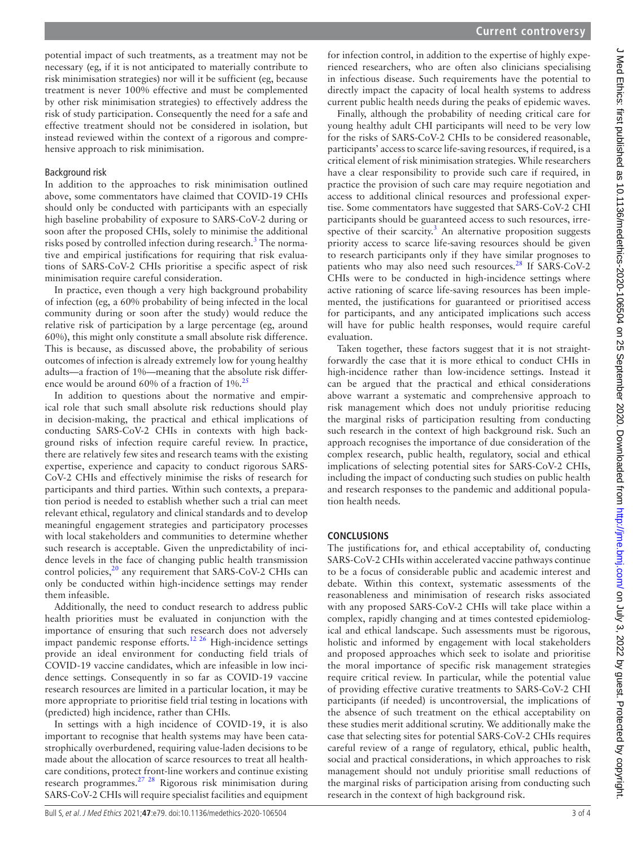potential impact of such treatments, as a treatment may not be necessary (eg, if it is not anticipated to materially contribute to risk minimisation strategies) nor will it be sufficient (eg, because treatment is never 100% effective and must be complemented by other risk minimisation strategies) to effectively address the risk of study participation. Consequently the need for a safe and effective treatment should not be considered in isolation, but instead reviewed within the context of a rigorous and comprehensive approach to risk minimisation.

## Background risk

In addition to the approaches to risk minimisation outlined above, some commentators have claimed that COVID-19 CHIs should only be conducted with participants with an especially high baseline probability of exposure to SARS-CoV-2 during or soon after the proposed CHIs, solely to minimise the additional risks posed by controlled infection during research.<sup>[3](#page-3-15)</sup> The normative and empirical justifications for requiring that risk evaluations of SARS-CoV-2 CHIs prioritise a specific aspect of risk minimisation require careful consideration.

In practice, even though a very high background probability of infection (eg, a 60% probability of being infected in the local community during or soon after the study) would reduce the relative risk of participation by a large percentage (eg, around 60%), this might only constitute a small absolute risk difference. This is because, as discussed above, the probability of serious outcomes of infection is already extremely low for young healthy adults—a fraction of 1%—meaning that the absolute risk differ-ence would be around 60% of a fraction of 1%.<sup>[25](#page-3-19)</sup>

In addition to questions about the normative and empirical role that such small absolute risk reductions should play in decision-making, the practical and ethical implications of conducting SARS-CoV-2 CHIs in contexts with high background risks of infection require careful review. In practice, there are relatively few sites and research teams with the existing expertise, experience and capacity to conduct rigorous SARS-CoV-2 CHIs and effectively minimise the risks of research for participants and third parties. Within such contexts, a preparation period is needed to establish whether such a trial can meet relevant ethical, regulatory and clinical standards and to develop meaningful engagement strategies and participatory processes with local stakeholders and communities to determine whether such research is acceptable. Given the unpredictability of incidence levels in the face of changing public health transmission control policies,<sup>20</sup> any requirement that SARS-CoV-2 CHIs can only be conducted within high-incidence settings may render them infeasible.

Additionally, the need to conduct research to address public health priorities must be evaluated in conjunction with the importance of ensuring that such research does not adversely impact pandemic response efforts.<sup>[12 26](#page-3-5)</sup> High-incidence settings provide an ideal environment for conducting field trials of COVID-19 vaccine candidates, which are infeasible in low incidence settings. Consequently in so far as COVID-19 vaccine research resources are limited in a particular location, it may be more appropriate to prioritise field trial testing in locations with (predicted) high incidence, rather than CHIs.

In settings with a high incidence of COVID-19, it is also important to recognise that health systems may have been catastrophically overburdened, requiring value-laden decisions to be made about the allocation of scarce resources to treat all healthcare conditions, protect front-line workers and continue existing research programmes.[27 28](#page-3-20) Rigorous risk minimisation during SARS-CoV-2 CHIs will require specialist facilities and equipment for infection control, in addition to the expertise of highly experienced researchers, who are often also clinicians specialising in infectious disease. Such requirements have the potential to directly impact the capacity of local health systems to address current public health needs during the peaks of epidemic waves.

Finally, although the probability of needing critical care for young healthy adult CHI participants will need to be very low for the risks of SARS-CoV-2 CHIs to be considered reasonable, participants' access to scarce life-saving resources, if required, is a critical element of risk minimisation strategies. While researchers have a clear responsibility to provide such care if required, in practice the provision of such care may require negotiation and access to additional clinical resources and professional expertise. Some commentators have suggested that SARS-CoV-2 CHI participants should be guaranteed access to such resources, irrespective of their scarcity. $3$  An alternative proposition suggests priority access to scarce life-saving resources should be given to research participants only if they have similar prognoses to patients who may also need such resources.<sup>28</sup> If SARS-CoV-2 CHIs were to be conducted in high-incidence settings where active rationing of scarce life-saving resources has been implemented, the justifications for guaranteed or prioritised access for participants, and any anticipated implications such access will have for public health responses, would require careful evaluation.

Taken together, these factors suggest that it is not straightforwardly the case that it is more ethical to conduct CHIs in high-incidence rather than low-incidence settings. Instead it can be argued that the practical and ethical considerations above warrant a systematic and comprehensive approach to risk management which does not unduly prioritise reducing the marginal risks of participation resulting from conducting such research in the context of high background risk. Such an approach recognises the importance of due consideration of the complex research, public health, regulatory, social and ethical implications of selecting potential sites for SARS-CoV-2 CHIs, including the impact of conducting such studies on public health and research responses to the pandemic and additional population health needs.

# **CONCLUSIONS**

The justifications for, and ethical acceptability of, conducting SARS-CoV-2 CHIs within accelerated vaccine pathways continue to be a focus of considerable public and academic interest and debate. Within this context, systematic assessments of the reasonableness and minimisation of research risks associated with any proposed SARS-CoV-2 CHIs will take place within a complex, rapidly changing and at times contested epidemiological and ethical landscape. Such assessments must be rigorous, holistic and informed by engagement with local stakeholders and proposed approaches which seek to isolate and prioritise the moral importance of specific risk management strategies require critical review. In particular, while the potential value of providing effective curative treatments to SARS-CoV-2 CHI participants (if needed) is uncontroversial, the implications of the absence of such treatment on the ethical acceptability on these studies merit additional scrutiny. We additionally make the case that selecting sites for potential SARS-CoV-2 CHIs requires careful review of a range of regulatory, ethical, public health, social and practical considerations, in which approaches to risk management should not unduly prioritise small reductions of the marginal risks of participation arising from conducting such research in the context of high background risk.